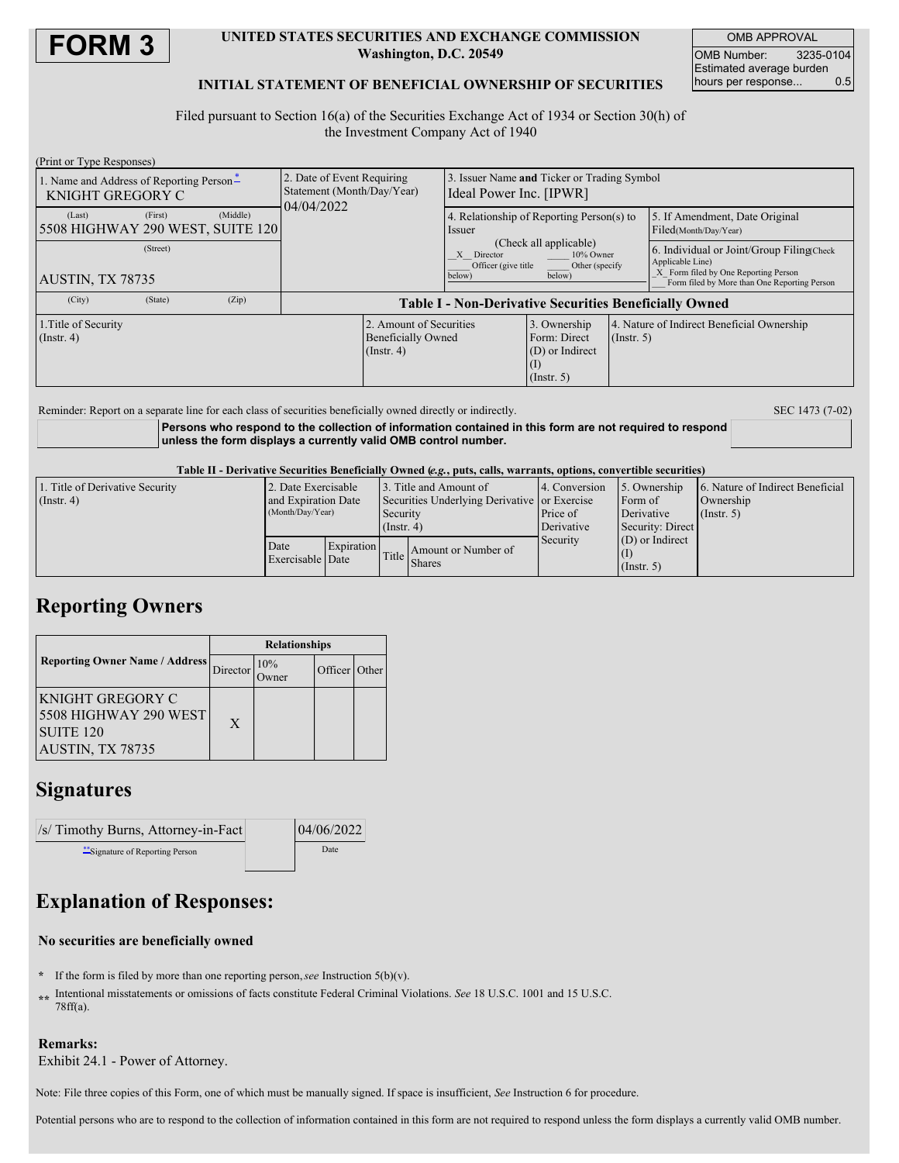

### **UNITED STATES SECURITIES AND EXCHANGE COMMISSION Washington, D.C. 20549**

OMB APPROVAL OMB Number: 3235-0104 Estimated average burden hours per response... 0.5

### **INITIAL STATEMENT OF BENEFICIAL OWNERSHIP OF SECURITIES**

Filed pursuant to Section 16(a) of the Securities Exchange Act of 1934 or Section 30(h) of the Investment Company Act of 1940

| (Print or Type Responses)                                    |          |          |                                                                        |                                                                        |                                                                                                                                                      |                                                                            |                  |                                                                                                       |
|--------------------------------------------------------------|----------|----------|------------------------------------------------------------------------|------------------------------------------------------------------------|------------------------------------------------------------------------------------------------------------------------------------------------------|----------------------------------------------------------------------------|------------------|-------------------------------------------------------------------------------------------------------|
| 1. Name and Address of Reporting Person-<br>KNIGHT GREGORY C |          |          | 2. Date of Event Requiring<br>Statement (Month/Day/Year)<br>04/04/2022 | 3. Issuer Name and Ticker or Trading Symbol<br>Ideal Power Inc. [IPWR] |                                                                                                                                                      |                                                                            |                  |                                                                                                       |
| (Last)<br>5508 HIGHWAY 290 WEST, SUITE 120                   | (First)  | (Middle) |                                                                        |                                                                        | 4. Relationship of Reporting Person(s) to<br>Issuer<br>(Check all applicable)<br>10% Owner<br>Director<br>X<br>Officer (give title<br>Other (specify |                                                                            |                  | 5. If Amendment, Date Original<br>Filed(Month/Day/Year)                                               |
|                                                              | (Street) |          |                                                                        |                                                                        |                                                                                                                                                      |                                                                            |                  | 6. Individual or Joint/Group Filing(Check<br>Applicable Line)<br>X Form filed by One Reporting Person |
| AUSTIN, TX 78735                                             |          |          | below)<br>below)                                                       |                                                                        | Form filed by More than One Reporting Person                                                                                                         |                                                                            |                  |                                                                                                       |
| (City)                                                       | (State)  | (Zip)    | <b>Table I - Non-Derivative Securities Beneficially Owned</b>          |                                                                        |                                                                                                                                                      |                                                                            |                  |                                                                                                       |
| 1. Title of Security<br>$($ Instr. 4 $)$                     |          |          |                                                                        | 2. Amount of Securities<br><b>Beneficially Owned</b><br>$($ Instr. 4)  |                                                                                                                                                      | 3. Ownership<br>Form: Direct<br>(D) or Indirect<br>(1)<br>$($ Instr. 5 $)$ | $($ Instr. 5 $)$ | 4. Nature of Indirect Beneficial Ownership                                                            |
|                                                              |          |          |                                                                        |                                                                        |                                                                                                                                                      |                                                                            |                  |                                                                                                       |

Reminder: Report on a separate line for each class of securities beneficially owned directly or indirectly. SEC 1473 (7-02)

**Persons who respond to the collection of information contained in this form are not required to respond unless the form displays a currently valid OMB control number.**

Table II - Derivative Securities Beneficially Owned (e.g., puts, calls, warrants, options, convertible securities)

| 1. Title of Derivative Security<br>$($ Instr. 4 $)$ | 2. Date Exercisable                     |                                | 3. Title and Amount of<br>Securities Underlying Derivative or Exercise |                     | 4. Conversion | 5. Ownership          | 6. Nature of Indirect Beneficial |  |
|-----------------------------------------------------|-----------------------------------------|--------------------------------|------------------------------------------------------------------------|---------------------|---------------|-----------------------|----------------------------------|--|
|                                                     | and Expiration Date<br>(Month/Day/Year) |                                | Security                                                               |                     | Price of      | Form of<br>Derivative | Ownership<br>(Insert, 5)         |  |
|                                                     |                                         |                                | $($ Instr. 4 $)$                                                       |                     | Derivative    | Security: Direct      |                                  |  |
|                                                     | Date                                    | Expiration<br>Exercisable Date | Title<br><b>Shares</b>                                                 | Amount or Number of | Security      | $(D)$ or Indirect     |                                  |  |
|                                                     |                                         |                                |                                                                        |                     |               | $($ Instr. 5 $)$      |                                  |  |

### **Reporting Owners**

|                                                                                       | <b>Relationships</b> |     |               |  |  |
|---------------------------------------------------------------------------------------|----------------------|-----|---------------|--|--|
| <b>Reporting Owner Name / Address</b>                                                 | Director             | 10% | Officer Other |  |  |
| KNIGHT GREGORY C<br>5508 HIGHWAY 290 WEST<br>SUITE <sub>120</sub><br>AUSTIN, TX 78735 | X                    |     |               |  |  |

## **Signatures**

| $\sqrt{ s }$ Timothy Burns, Attorney-in-Fact | 04/06/2022 |
|----------------------------------------------|------------|
| Signature of Reporting Person                | Date       |

# **Explanation of Responses:**

#### **No securities are beneficially owned**

- **\*** If the form is filed by more than one reporting person,*see* Instruction 5(b)(v).
- **\*\*** Intentional misstatements or omissions of facts constitute Federal Criminal Violations. *See* 18 U.S.C. 1001 and 15 U.S.C. 78ff(a).

### **Remarks:**

Exhibit 24.1 - Power of Attorney.

Note: File three copies of this Form, one of which must be manually signed. If space is insufficient, *See* Instruction 6 for procedure.

Potential persons who are to respond to the collection of information contained in this form are not required to respond unless the form displays a currently valid OMB number.